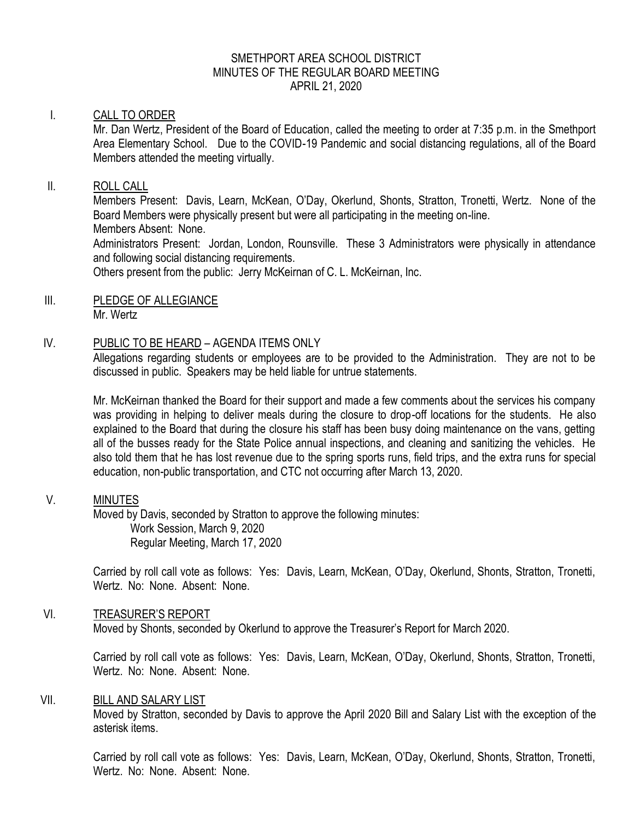# SMETHPORT AREA SCHOOL DISTRICT MINUTES OF THE REGULAR BOARD MEETING APRIL 21, 2020

### I. CALL TO ORDER

Mr. Dan Wertz, President of the Board of Education, called the meeting to order at 7:35 p.m. in the Smethport Area Elementary School. Due to the COVID-19 Pandemic and social distancing regulations, all of the Board Members attended the meeting virtually.

### II. ROLL CALL

Members Present: Davis, Learn, McKean, O'Day, Okerlund, Shonts, Stratton, Tronetti, Wertz. None of the Board Members were physically present but were all participating in the meeting on-line. Members Absent: None.

Administrators Present: Jordan, London, Rounsville. These 3 Administrators were physically in attendance and following social distancing requirements.

Others present from the public: Jerry McKeirnan of C. L. McKeirnan, Inc.

#### III. PLEDGE OF ALLEGIANCE Mr. Wertz

#### IV. PUBLIC TO BE HEARD – AGENDA ITEMS ONLY

Allegations regarding students or employees are to be provided to the Administration. They are not to be discussed in public. Speakers may be held liable for untrue statements.

Mr. McKeirnan thanked the Board for their support and made a few comments about the services his company was providing in helping to deliver meals during the closure to drop-off locations for the students. He also explained to the Board that during the closure his staff has been busy doing maintenance on the vans, getting all of the busses ready for the State Police annual inspections, and cleaning and sanitizing the vehicles. He also told them that he has lost revenue due to the spring sports runs, field trips, and the extra runs for special education, non-public transportation, and CTC not occurring after March 13, 2020.

## V. MINUTES

Moved by Davis, seconded by Stratton to approve the following minutes: Work Session, March 9, 2020 Regular Meeting, March 17, 2020

Carried by roll call vote as follows: Yes: Davis, Learn, McKean, O'Day, Okerlund, Shonts, Stratton, Tronetti, Wertz. No: None. Absent: None.

### VI. TREASURER'S REPORT

Moved by Shonts, seconded by Okerlund to approve the Treasurer's Report for March 2020.

Carried by roll call vote as follows: Yes: Davis, Learn, McKean, O'Day, Okerlund, Shonts, Stratton, Tronetti, Wertz. No: None. Absent: None.

#### VII. BILL AND SALARY LIST

Moved by Stratton, seconded by Davis to approve the April 2020 Bill and Salary List with the exception of the asterisk items.

Carried by roll call vote as follows: Yes: Davis, Learn, McKean, O'Day, Okerlund, Shonts, Stratton, Tronetti, Wertz. No: None. Absent: None.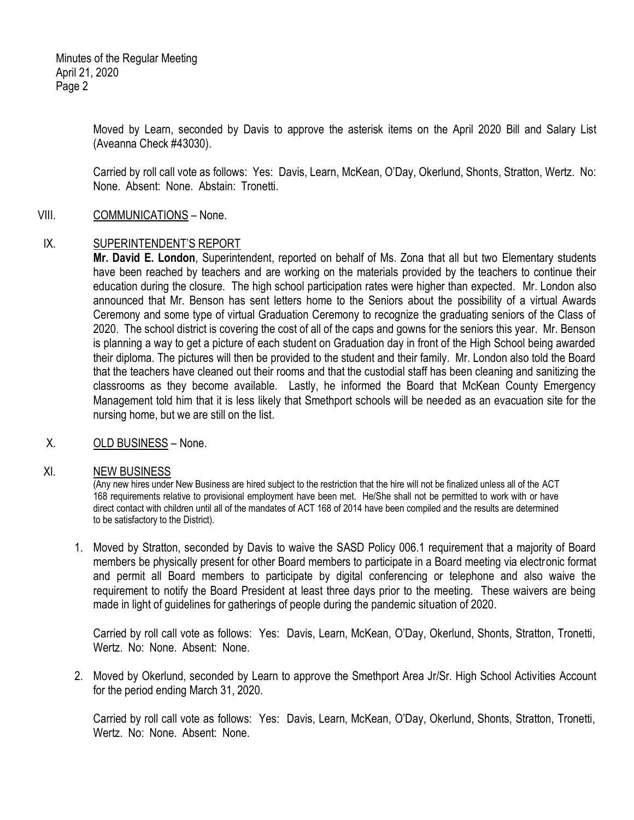Minutes of the Regular Meeting April 21, 2020 Page 2

> Moved by Learn, seconded by Davis to approve the asterisk items on the April 2020 Bill and Salary List (Aveanna Check #43030).

> Carried by roll call vote as follows: Yes: Davis, Learn, McKean, O'Day, Okerlund, Shonts, Stratton, Wertz. No: None. Absent: None. Abstain: Tronetti.

### VIII. COMMUNICATIONS – None.

#### IX. SUPERINTENDENT'S REPORT

**Mr. David E. London**, Superintendent, reported on behalf of Ms. Zona that all but two Elementary students have been reached by teachers and are working on the materials provided by the teachers to continue their education during the closure. The high school participation rates were higher than expected. Mr. London also announced that Mr. Benson has sent letters home to the Seniors about the possibility of a virtual Awards Ceremony and some type of virtual Graduation Ceremony to recognize the graduating seniors of the Class of 2020. The school district is covering the cost of all of the caps and gowns for the seniors this year. Mr. Benson is planning a way to get a picture of each student on Graduation day in front of the High School being awarded their diploma. The pictures will then be provided to the student and their family. Mr. London also told the Board that the teachers have cleaned out their rooms and that the custodial staff has been cleaning and sanitizing the classrooms as they become available. Lastly, he informed the Board that McKean County Emergency Management told him that it is less likely that Smethport schools will be needed as an evacuation site for the nursing home, but we are still on the list.

X. OLD BUSINESS – None.

#### XI. NEW BUSINESS

(Any new hires under New Business are hired subject to the restriction that the hire will not be finalized unless all of the ACT 168 requirements relative to provisional employment have been met. He/She shall not be permitted to work with or have direct contact with children until all of the mandates of ACT 168 of 2014 have been compiled and the results are determined to be satisfactory to the District).

1. Moved by Stratton, seconded by Davis to waive the SASD Policy 006.1 requirement that a majority of Board members be physically present for other Board members to participate in a Board meeting via electronic format and permit all Board members to participate by digital conferencing or telephone and also waive the requirement to notify the Board President at least three days prior to the meeting. These waivers are being made in light of guidelines for gatherings of people during the pandemic situation of 2020.

Carried by roll call vote as follows: Yes: Davis, Learn, McKean, O'Day, Okerlund, Shonts, Stratton, Tronetti, Wertz. No: None. Absent: None.

2. Moved by Okerlund, seconded by Learn to approve the Smethport Area Jr/Sr. High School Activities Account for the period ending March 31, 2020.

Carried by roll call vote as follows: Yes: Davis, Learn, McKean, O'Day, Okerlund, Shonts, Stratton, Tronetti, Wertz. No: None. Absent: None.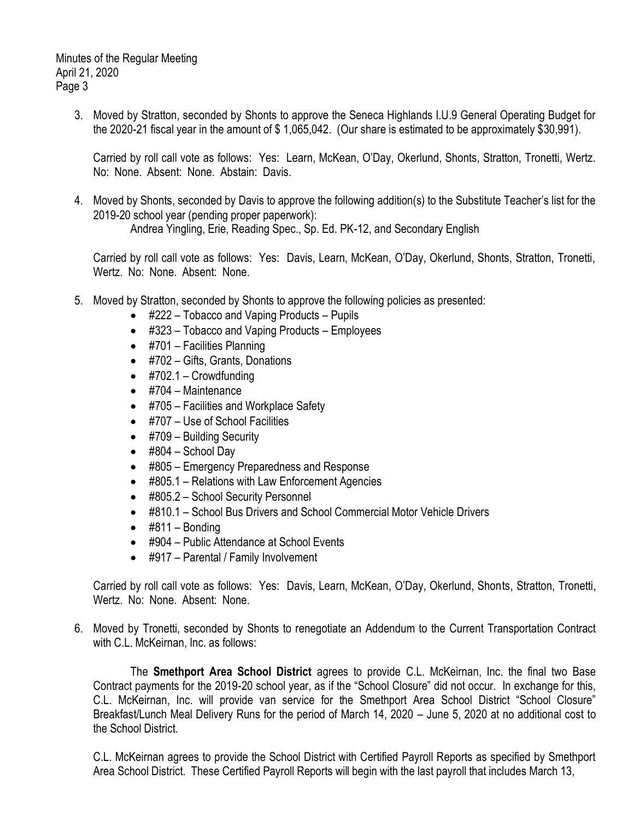Minutes of the Regular Meeting April 21, 2020 Page 3

> 3. Moved by Stratton, seconded by Shonts to approve the Seneca Highlands I.U.9 General Operating Budget for the 2020-21 fiscal year in the amount of \$ 1,065,042. (Our share is estimated to be approximately \$30,991).

Carried by roll call vote as follows: Yes: Learn, McKean, O'Day, Okerlund, Shonts, Stratton, Tronetti, Wertz. No: None. Absent: None. Abstain: Davis.

4. Moved by Shonts, seconded by Davis to approve the following addition(s) to the Substitute Teacher's list for the 2019-20 school year (pending proper paperwork):

Andrea Yingling, Erie, Reading Spec., Sp. Ed. PK-12, and Secondary English

Carried by roll call vote as follows: Yes: Davis, Learn, McKean, O'Day, Okerlund, Shonts, Stratton, Tronetti, Wertz. No: None. Absent: None.

- 5. Moved by Stratton, seconded by Shonts to approve the following policies as presented:
	- #222 Tobacco and Vaping Products Pupils
	- #323 Tobacco and Vaping Products Employees
	- $\bullet$  #701 Facilities Planning
	- #702 Gifts, Grants, Donations
	- $\bullet$  #702.1 Crowdfunding
	- $\bullet$  #704 Maintenance
	- #705 Facilities and Workplace Safety
	- #707 Use of School Facilities
	- #709 Building Security
	- $\bullet$  #804 School Day
	- #805 Emergency Preparedness and Response
	- #805.1 Relations with Law Enforcement Agencies
	- #805.2 School Security Personnel
	- #810.1 School Bus Drivers and School Commercial Motor Vehicle Drivers
	- $\bullet$  #811 Bonding
	- #904 Public Attendance at School Events
	- #917 Parental / Family Involvement

Carried by roll call vote as follows: Yes: Davis, Learn, McKean, O'Day, Okerlund, Shonts, Stratton, Tronetti, Wertz. No: None. Absent: None.

6. Moved by Tronetti, seconded by Shonts to renegotiate an Addendum to the Current Transportation Contract with C.L. McKeirnan, Inc. as follows:

The **Smethport Area School District** agrees to provide C.L. McKeirnan, Inc. the final two Base Contract payments for the 2019-20 school year, as if the "School Closure" did not occur. In exchange for this, C.L. McKeirnan, Inc. will provide van service for the Smethport Area School District "School Closure" Breakfast/Lunch Meal Delivery Runs for the period of March 14, 2020 – June 5, 2020 at no additional cost to the School District.

C.L. McKeirnan agrees to provide the School District with Certified Payroll Reports as specified by Smethport Area School District. These Certified Payroll Reports will begin with the last payroll that includes March 13,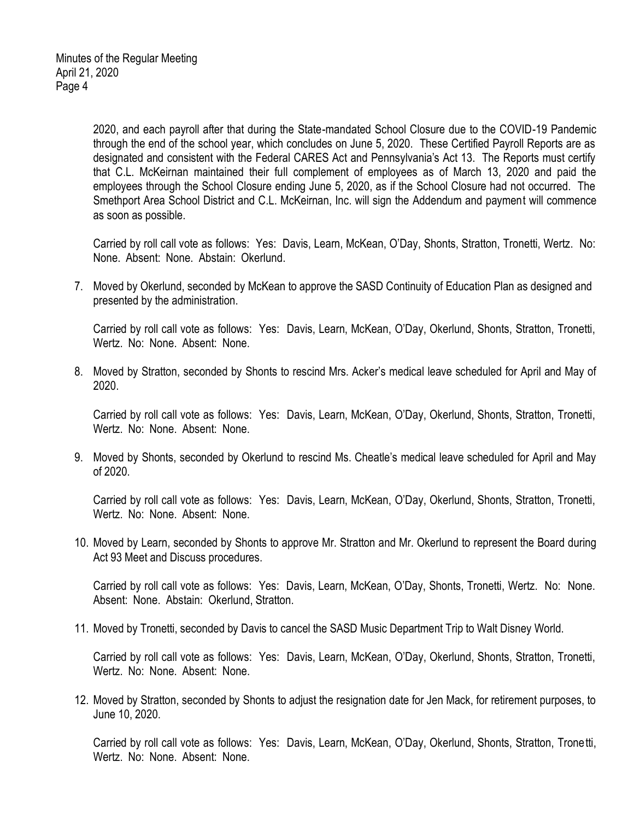2020, and each payroll after that during the State-mandated School Closure due to the COVID-19 Pandemic through the end of the school year, which concludes on June 5, 2020. These Certified Payroll Reports are as designated and consistent with the Federal CARES Act and Pennsylvania's Act 13. The Reports must certify that C.L. McKeirnan maintained their full complement of employees as of March 13, 2020 and paid the employees through the School Closure ending June 5, 2020, as if the School Closure had not occurred. The Smethport Area School District and C.L. McKeirnan, Inc. will sign the Addendum and payment will commence as soon as possible.

Carried by roll call vote as follows: Yes: Davis, Learn, McKean, O'Day, Shonts, Stratton, Tronetti, Wertz. No: None. Absent: None. Abstain: Okerlund.

7. Moved by Okerlund, seconded by McKean to approve the SASD Continuity of Education Plan as designed and presented by the administration.

Carried by roll call vote as follows: Yes: Davis, Learn, McKean, O'Day, Okerlund, Shonts, Stratton, Tronetti, Wertz. No: None. Absent: None.

8. Moved by Stratton, seconded by Shonts to rescind Mrs. Acker's medical leave scheduled for April and May of 2020.

Carried by roll call vote as follows: Yes: Davis, Learn, McKean, O'Day, Okerlund, Shonts, Stratton, Tronetti, Wertz. No: None. Absent: None.

9. Moved by Shonts, seconded by Okerlund to rescind Ms. Cheatle's medical leave scheduled for April and May of 2020.

Carried by roll call vote as follows: Yes: Davis, Learn, McKean, O'Day, Okerlund, Shonts, Stratton, Tronetti, Wertz. No: None. Absent: None.

10. Moved by Learn, seconded by Shonts to approve Mr. Stratton and Mr. Okerlund to represent the Board during Act 93 Meet and Discuss procedures.

Carried by roll call vote as follows: Yes: Davis, Learn, McKean, O'Day, Shonts, Tronetti, Wertz. No: None. Absent: None. Abstain: Okerlund, Stratton.

11. Moved by Tronetti, seconded by Davis to cancel the SASD Music Department Trip to Walt Disney World.

Carried by roll call vote as follows: Yes: Davis, Learn, McKean, O'Day, Okerlund, Shonts, Stratton, Tronetti, Wertz. No: None. Absent: None.

12. Moved by Stratton, seconded by Shonts to adjust the resignation date for Jen Mack, for retirement purposes, to June 10, 2020.

Carried by roll call vote as follows: Yes: Davis, Learn, McKean, O'Day, Okerlund, Shonts, Stratton, Tronetti, Wertz. No: None. Absent: None.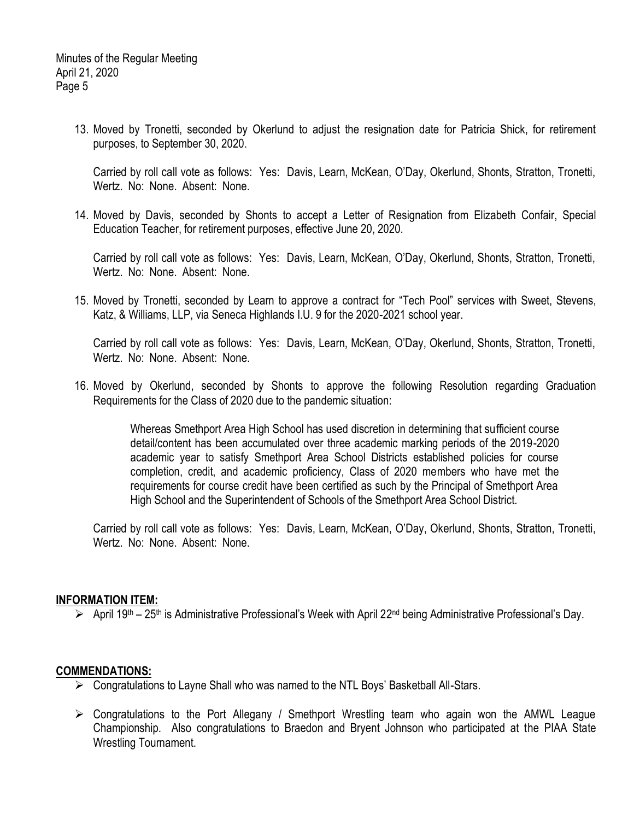13. Moved by Tronetti, seconded by Okerlund to adjust the resignation date for Patricia Shick, for retirement purposes, to September 30, 2020.

Carried by roll call vote as follows: Yes: Davis, Learn, McKean, O'Day, Okerlund, Shonts, Stratton, Tronetti, Wertz. No: None. Absent: None.

14. Moved by Davis, seconded by Shonts to accept a Letter of Resignation from Elizabeth Confair, Special Education Teacher, for retirement purposes, effective June 20, 2020.

Carried by roll call vote as follows: Yes: Davis, Learn, McKean, O'Day, Okerlund, Shonts, Stratton, Tronetti, Wertz. No: None. Absent: None.

15. Moved by Tronetti, seconded by Learn to approve a contract for "Tech Pool" services with Sweet, Stevens, Katz, & Williams, LLP, via Seneca Highlands I.U. 9 for the 2020-2021 school year.

Carried by roll call vote as follows: Yes: Davis, Learn, McKean, O'Day, Okerlund, Shonts, Stratton, Tronetti, Wertz. No: None. Absent: None.

16. Moved by Okerlund, seconded by Shonts to approve the following Resolution regarding Graduation Requirements for the Class of 2020 due to the pandemic situation:

> Whereas Smethport Area High School has used discretion in determining that sufficient course detail/content has been accumulated over three academic marking periods of the 2019-2020 academic year to satisfy Smethport Area School Districts established policies for course completion, credit, and academic proficiency, Class of 2020 members who have met the requirements for course credit have been certified as such by the Principal of Smethport Area High School and the Superintendent of Schools of the Smethport Area School District.

Carried by roll call vote as follows: Yes: Davis, Learn, McKean, O'Day, Okerlund, Shonts, Stratton, Tronetti, Wertz. No: None. Absent: None.

### **INFORMATION ITEM:**

 $\triangleright$  April 19<sup>th</sup> – 25<sup>th</sup> is Administrative Professional's Week with April 22<sup>nd</sup> being Administrative Professional's Day.

### **COMMENDATIONS:**

- $\triangleright$  Congratulations to Layne Shall who was named to the NTL Boys' Basketball All-Stars.
- $\triangleright$  Congratulations to the Port Allegany / Smethport Wrestling team who again won the AMWL League Championship. Also congratulations to Braedon and Bryent Johnson who participated at the PIAA State Wrestling Tournament.